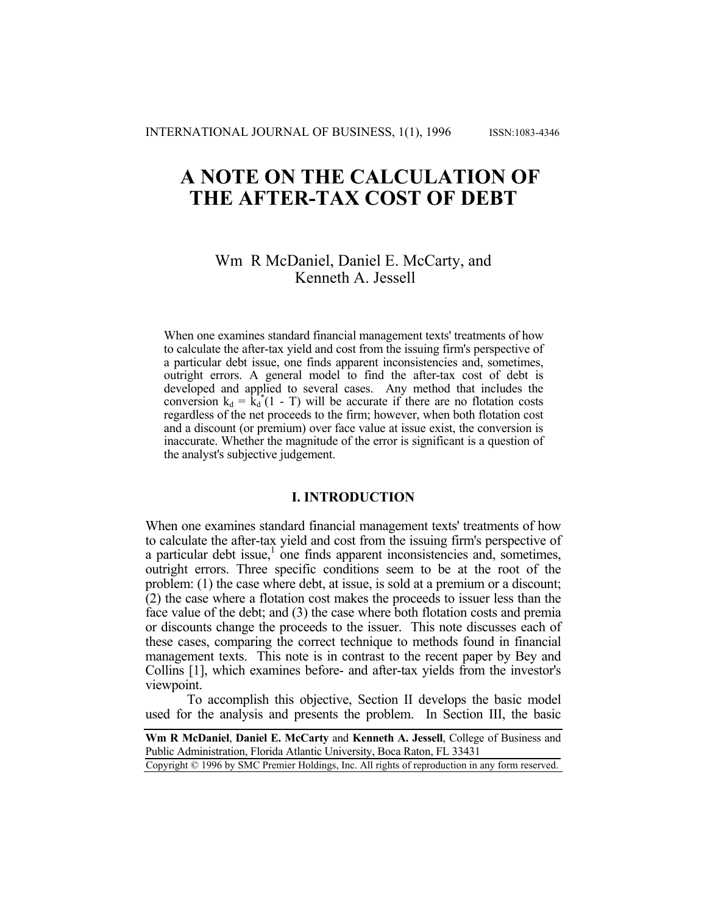# **A NOTE ON THE CALCULATION OF THE AFTER-TAX COST OF DEBT**

# Wm R McDaniel, Daniel E. McCarty, and Kenneth A. Jessell

When one examines standard financial management texts' treatments of how to calculate the after-tax yield and cost from the issuing firm's perspective of a particular debt issue, one finds apparent inconsistencies and, sometimes, outright errors. A general model to find the after-tax cost of debt is developed and applied to several cases. Any method that includes the conversion  $k_d = k_d^* (1 - T)$  will be accurate if there are no flotation costs regardless of the net proceeds to the firm; however, when both flotation cost and a discount (or premium) over face value at issue exist, the conversion is inaccurate. Whether the magnitude of the error is significant is a question of the analyst's subjective judgement.

# **I. INTRODUCTION**

When one examines standard financial management texts' treatments of how to calculate the after-tax yield and cost from the issuing firm's perspective of a particular debt issue,<sup>1</sup> one finds apparent inconsistencies and, sometimes, outright errors. Three specific conditions seem to be at the root of the problem: (1) the case where debt, at issue, is sold at a premium or a discount; (2) the case where a flotation cost makes the proceeds to issuer less than the face value of the debt; and (3) the case where both flotation costs and premia or discounts change the proceeds to the issuer. This note discusses each of these cases, comparing the correct technique to methods found in financial management texts. This note is in contrast to the recent paper by Bey and Collins [1], which examines before- and after-tax yields from the investor's viewpoint.

To accomplish this objective, Section II develops the basic model used for the analysis and presents the problem. In Section III, the basic

**Wm R McDaniel**, **Daniel E. McCarty** and **Kenneth A. Jessell**, College of Business and Public Administration, Florida Atlantic University, Boca Raton, FL 33431

Copyright © 1996 by SMC Premier Holdings, Inc. All rights of reproduction in any form reserved.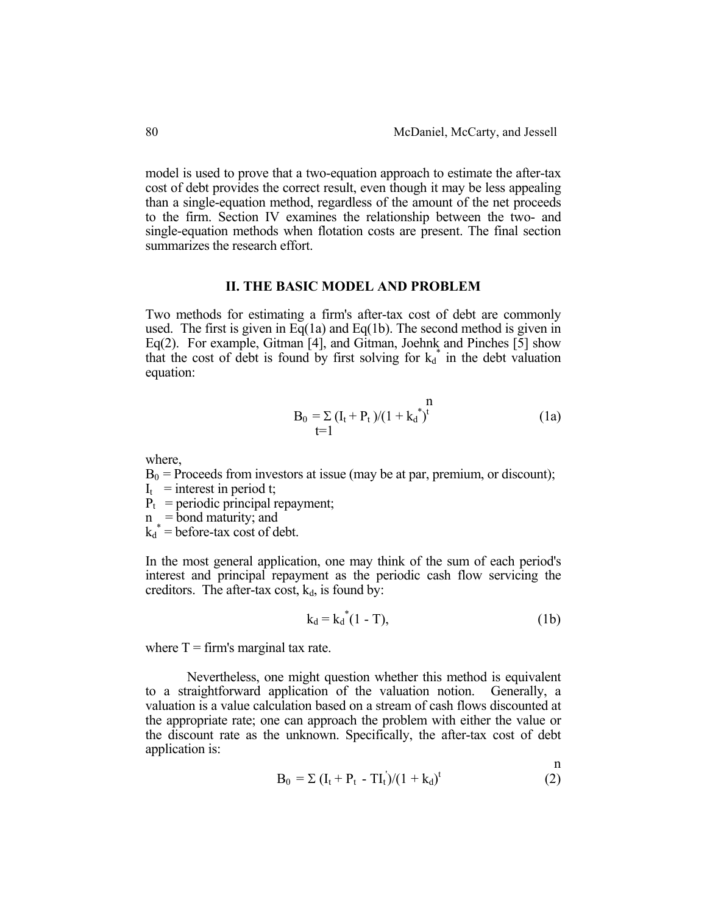model is used to prove that a two-equation approach to estimate the after-tax cost of debt provides the correct result, even though it may be less appealing than a single-equation method, regardless of the amount of the net proceeds to the firm. Section IV examines the relationship between the two- and single-equation methods when flotation costs are present. The final section summarizes the research effort.

## **II. THE BASIC MODEL AND PROBLEM**

Two methods for estimating a firm's after-tax cost of debt are commonly used. The first is given in  $Eq(1a)$  and  $Eq(1b)$ . The second method is given in Eq(2). For example, Gitman [4], and Gitman, Joehnk and Pinches [5] show that the cost of debt is found by first solving for  $k_d^*$  in the debt valuation equation:

$$
B_0 = \sum (I_t + P_t)/(1 + k_d^*)^t
$$
 (1a)

where,

 $B_0$  = Proceeds from investors at issue (may be at par, premium, or discount);

- $I_t$  = interest in period t;
- $P_t$  = periodic principal repayment;
- $n = bond maturity$ ; and
- $k_d^*$  = before-tax cost of debt.

In the most general application, one may think of the sum of each period's interest and principal repayment as the periodic cash flow servicing the creditors. The after-tax cost,  $k_d$ , is found by:

$$
k_d = k_d^*(1 - T), \tag{1b}
$$

where  $T =$  firm's marginal tax rate.

 Nevertheless, one might question whether this method is equivalent to a straightforward application of the valuation notion. Generally, a valuation is a value calculation based on a stream of cash flows discounted at the appropriate rate; one can approach the problem with either the value or the discount rate as the unknown. Specifically, the after-tax cost of debt application is:

$$
B_0 = \Sigma (I_t + P_t - T I_t) / (1 + k_d)^t
$$
 (2)

n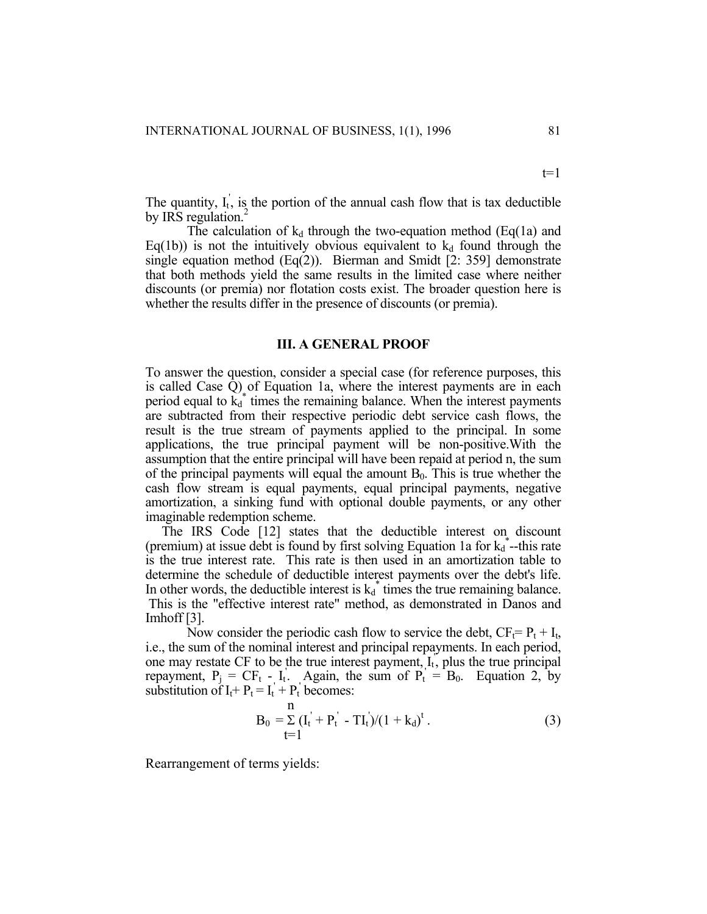The quantity,  $I_t$ , is the portion of the annual cash flow that is tax deductible by IRS regulation.

The calculation of  $k_d$  through the two-equation method (Eq(1a) and Eq(1b)) is not the intuitively obvious equivalent to  $k_d$  found through the single equation method  $(Eq(2))$ . Bierman and Smidt [2: 359] demonstrate that both methods yield the same results in the limited case where neither discounts (or premia) nor flotation costs exist. The broader question here is whether the results differ in the presence of discounts (or premia).

#### **III. A GENERAL PROOF**

To answer the question, consider a special case (for reference purposes, this is called Case Q) of Equation 1a, where the interest payments are in each period equal to  $\vec{k_d}^*$  times the remaining balance. When the interest payments are subtracted from their respective periodic debt service cash flows, the result is the true stream of payments applied to the principal. In some applications, the true principal payment will be non-positive.With the assumption that the entire principal will have been repaid at period n, the sum of the principal payments will equal the amount  $B_0$ . This is true whether the cash flow stream is equal payments, equal principal payments, negative amortization, a sinking fund with optional double payments, or any other imaginable redemption scheme.

 The IRS Code [12] states that the deductible interest on discount (premium) at issue debt is found by first solving Equation 1a for  $k_d^*$ --this rate is the true interest rate. This rate is then used in an amortization table to determine the schedule of deductible interest payments over the debt's life. In other words, the deductible interest is  $k_d^*$  times the true remaining balance. This is the "effective interest rate" method, as demonstrated in Danos and Imhoff [3].

Now consider the periodic cash flow to service the debt,  $CF_t = P_t + I_t$ , i.e., the sum of the nominal interest and principal repayments. In each period, one may restate CF to be the true interest payment,  $I_t$ , plus the true principal repayment,  $P_j = CF_t - I_t$ . Again, the sum of  $P_t = B_0$ . Equation 2, by substitution of  $I_t + P_t = I_t' + P_t'$  becomes:

$$
B_0 = \sum_{t=1}^{n} (I_t^{\prime} + P_t^{\prime} - TI_t^{\prime})/(1 + k_d)^t.
$$
 (3)

Rearrangement of terms yields:

 $t=1$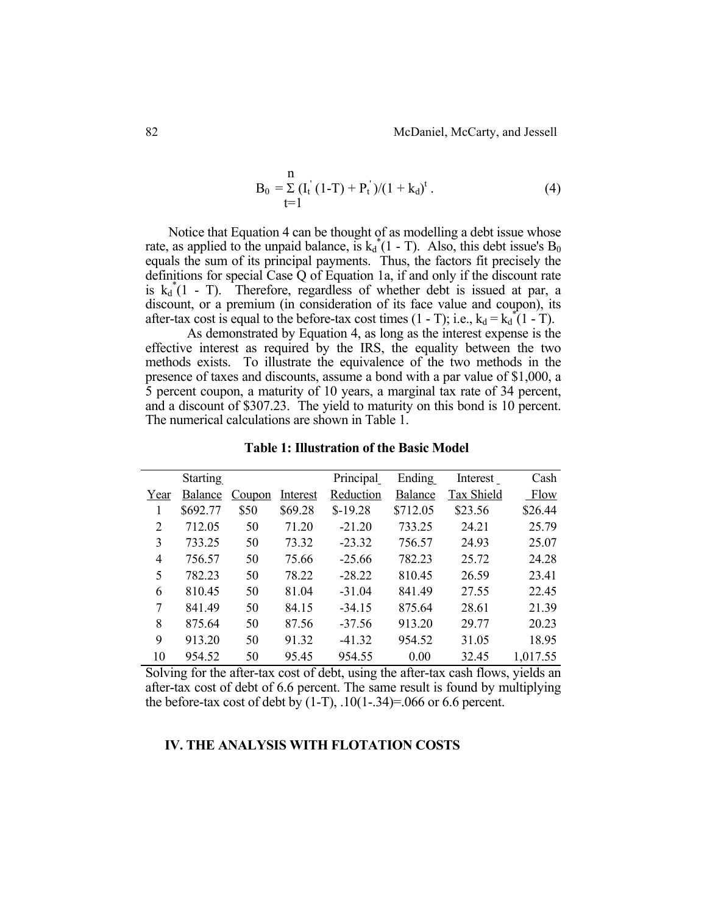$$
B_0 = \sum_{t=1}^{n} (I_t^{'} (1-T) + P_t^{'} )/(1 + k_d)^t . \tag{4}
$$

 Notice that Equation 4 can be thought of as modelling a debt issue whose rate, as applied to the unpaid balance, is  $k_d^*(1 - T)$ . Also, this debt issue's B<sub>0</sub> equals the sum of its principal payments. Thus, the factors fit precisely the definitions for special Case Q of Equation 1a, if and only if the discount rate is  $k_d^*(1 - T)$ . Therefore, regardless of whether debt is issued at par, a discount, or a premium (in consideration of its face value and coupon), its after-tax cost is equal to the before-tax cost times  $(1 - T)$ ; i.e.,  $k_d = k_d^*(1 - T)$ .

 As demonstrated by Equation 4, as long as the interest expense is the effective interest as required by the IRS, the equality between the two methods exists. To illustrate the equivalence of the two methods in the presence of taxes and discounts, assume a bond with a par value of \$1,000, a 5 percent coupon, a maturity of 10 years, a marginal tax rate of 34 percent, and a discount of \$307.23. The yield to maturity on this bond is 10 percent. The numerical calculations are shown in Table 1.

|      | <b>Starting</b> |        |          | Principal | Ending         | Interest   | Cash     |
|------|-----------------|--------|----------|-----------|----------------|------------|----------|
| Year | Balance         | Coupon | Interest | Reduction | <b>Balance</b> | Tax Shield | Flow     |
| 1    | \$692.77        | \$50   | \$69.28  | $$-19.28$ | \$712.05       | \$23.56    | \$26.44  |
| 2    | 712.05          | 50     | 71.20    | $-21.20$  | 733.25         | 24.21      | 25.79    |
| 3    | 733.25          | 50     | 73.32    | $-23.32$  | 756.57         | 24.93      | 25.07    |
| 4    | 756.57          | 50     | 75.66    | $-25.66$  | 782.23         | 25.72      | 24.28    |
| 5    | 782.23          | 50     | 78.22    | $-28.22$  | 810.45         | 26.59      | 23.41    |
| 6    | 810.45          | 50     | 81.04    | $-31.04$  | 841.49         | 27.55      | 22.45    |
| 7    | 841.49          | 50     | 84.15    | $-34.15$  | 875.64         | 28.61      | 21.39    |
| 8    | 875.64          | 50     | 87.56    | $-37.56$  | 913.20         | 29.77      | 20.23    |
| 9    | 913.20          | 50     | 91.32    | $-41.32$  | 954.52         | 31.05      | 18.95    |
| 10   | 954.52          | 50     | 95.45    | 954.55    | 0.00           | 32.45      | 1,017.55 |

**Table 1: Illustration of the Basic Model** 

Solving for the after-tax cost of debt, using the after-tax cash flows, yields an after-tax cost of debt of 6.6 percent. The same result is found by multiplying the before-tax cost of debt by  $(1-T)$ ,  $.10(1-.34)=0.066$  or 6.6 percent.

# **IV. THE ANALYSIS WITH FLOTATION COSTS**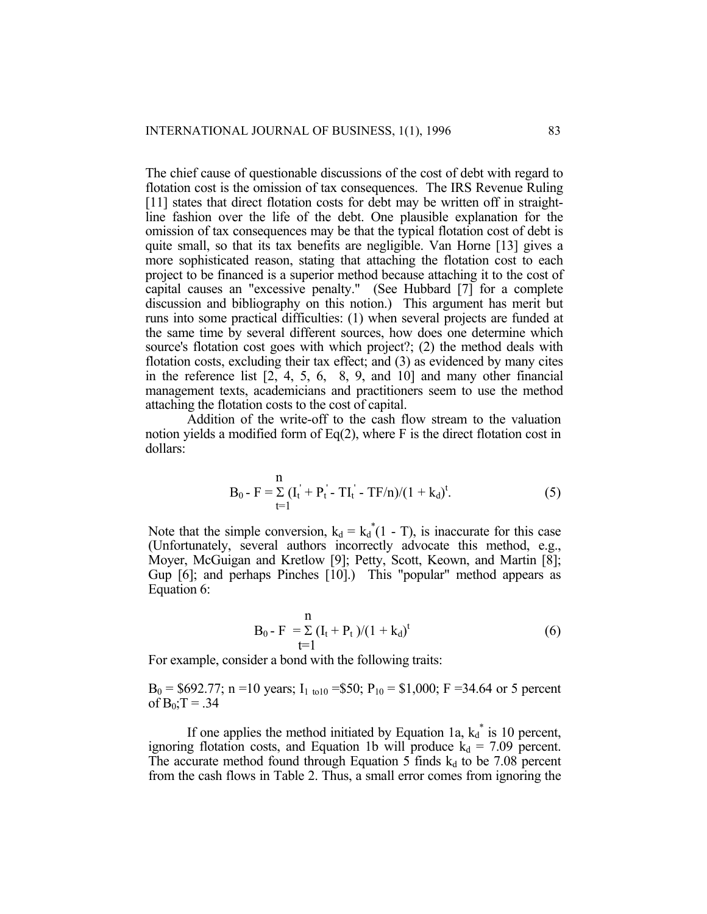The chief cause of questionable discussions of the cost of debt with regard to flotation cost is the omission of tax consequences. The IRS Revenue Ruling [11] states that direct flotation costs for debt may be written off in straightline fashion over the life of the debt. One plausible explanation for the omission of tax consequences may be that the typical flotation cost of debt is quite small, so that its tax benefits are negligible. Van Horne [13] gives a more sophisticated reason, stating that attaching the flotation cost to each project to be financed is a superior method because attaching it to the cost of capital causes an "excessive penalty." (See Hubbard [7] for a complete discussion and bibliography on this notion.) This argument has merit but runs into some practical difficulties: (1) when several projects are funded at the same time by several different sources, how does one determine which source's flotation cost goes with which project?; (2) the method deals with flotation costs, excluding their tax effect; and (3) as evidenced by many cites in the reference list  $[2, 4, 5, 6, 8, 9,$  and  $[10]$  and many other financial management texts, academicians and practitioners seem to use the method attaching the flotation costs to the cost of capital.

 Addition of the write-off to the cash flow stream to the valuation notion yields a modified form of Eq(2), where F is the direct flotation cost in dollars:

$$
B_0 - F = \sum_{t=1}^{n} (I_t^{\dagger} + P_t^{\dagger} - TI_t^{\dagger} - TF/n)/(1 + k_d)^t.
$$
 (5)

Note that the simple conversion,  $k_d = k_d^*(1 - T)$ , is inaccurate for this case (Unfortunately, several authors incorrectly advocate this method, e.g., Moyer, McGuigan and Kretlow [9]; Petty, Scott, Keown, and Martin [8]; Gup [6]; and perhaps Pinches [10].) This "popular" method appears as Equation 6:

$$
B_0 - F = \sum_{t=1}^{n} (I_t + P_t)/(1 + k_d)^t
$$
 (6)

For example, consider a bond with the following traits:

 $B_0 = $692.77$ ; n =10 years; I<sub>1 to10</sub> =\$50; P<sub>10</sub> = \$1,000; F =34.64 or 5 percent of  $B_0$ ; T = .34

If one applies the method initiated by Equation 1a,  $k_d^*$  is 10 percent, ignoring flotation costs, and Equation 1b will produce  $k_d = 7.09$  percent. The accurate method found through Equation 5 finds  $k_d$  to be 7.08 percent from the cash flows in Table 2. Thus, a small error comes from ignoring the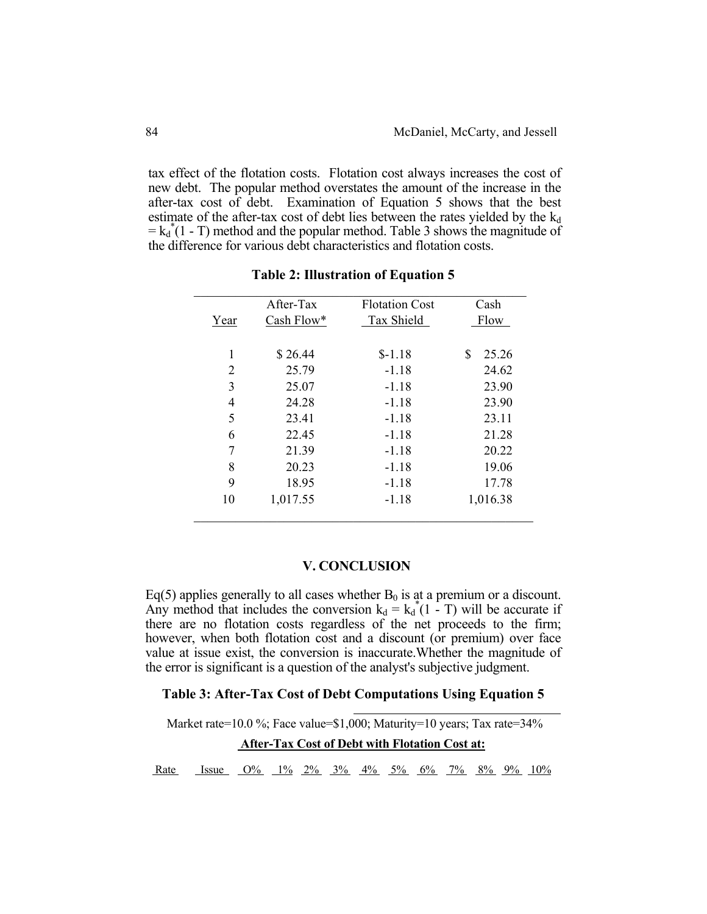tax effect of the flotation costs. Flotation cost always increases the cost of new debt. The popular method overstates the amount of the increase in the after-tax cost of debt. Examination of Equation 5 shows that the best estimate of the after-tax cost of debt lies between the rates yielded by the  $k_d$  $=k_d^*(1 - T)$  method and the popular method. Table 3 shows the magnitude of the difference for various debt characteristics and flotation costs.

|                | After-Tax  | <b>Flotation Cost</b> | Cash       |  |
|----------------|------------|-----------------------|------------|--|
| Year           | Cash Flow* | Tax Shield            | Flow       |  |
| 1              | \$26.44    | $$-1.18$              | S<br>25.26 |  |
| $\overline{2}$ | 25.79      | $-1.18$               | 24.62      |  |
| 3              | 25.07      | $-1.18$               | 23.90      |  |
| $\overline{4}$ | 24.28      | $-1.18$               | 23.90      |  |
| 5              | 23.41      | $-1.18$               | 23.11      |  |
| 6              | 22.45      | $-1.18$               | 21.28      |  |
| 7              | 21.39      | $-1.18$               | 20.22      |  |
| 8              | 20.23      | $-1.18$               | 19.06      |  |
| 9              | 18.95      | $-1.18$               | 17.78      |  |
| 10             | 1,017.55   | $-1.18$               | 1,016.38   |  |

**Table 2: Illustration of Equation 5** 

## **V. CONCLUSION**

Eq(5) applies generally to all cases whether  $B_0$  is at a premium or a discount. Any method that includes the conversion  $k_d = k_d^*(1 - T)$  will be accurate if there are no flotation costs regardless of the net proceeds to the firm; however, when both flotation cost and a discount (or premium) over face value at issue exist, the conversion is inaccurate.Whether the magnitude of the error is significant is a question of the analyst's subjective judgment.

# **Table 3: After-Tax Cost of Debt Computations Using Equation 5**  l

Market rate=10.0 %; Face value=\$1,000; Maturity=10 years; Tax rate=34%  **After-Tax Cost of Debt with Flotation Cost at:**

Rate Issue  $Q\%$  1% 2% 3% 4% 5% 6% 7% 8% 9% 10%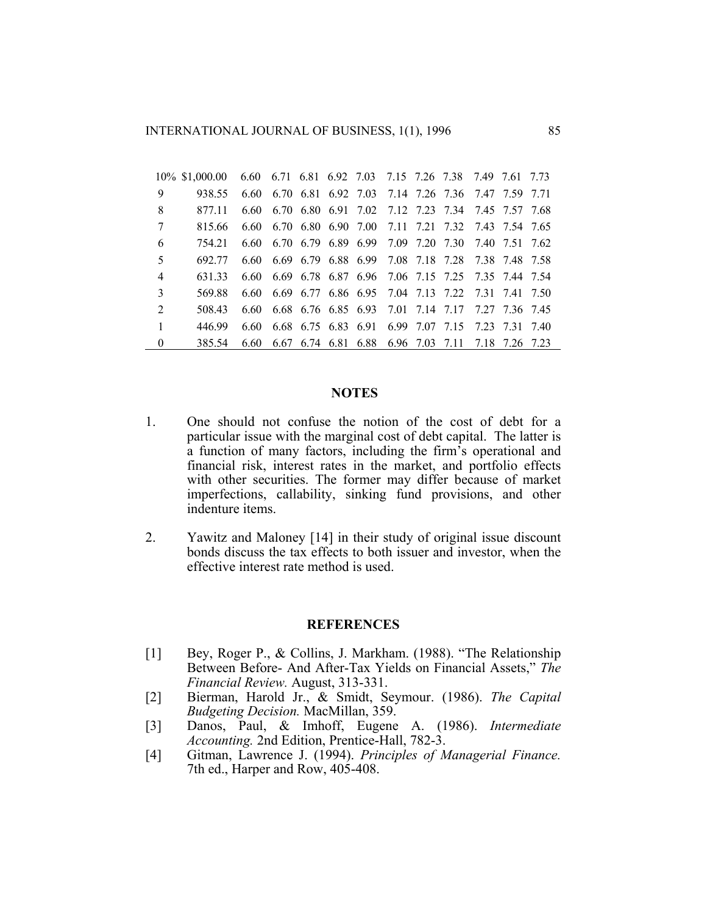INTERNATIONAL JOURNAL OF BUSINESS, 1(1), 1996 85

|                | 10\% \$1,000.00 | 6.60 6.71 6.81 6.92 7.03 7.15 7.26 7.38 7.49 7.61 7.73 |  |  |  |                                                        |  |
|----------------|-----------------|--------------------------------------------------------|--|--|--|--------------------------------------------------------|--|
| 9              | 938.55          |                                                        |  |  |  | 6.60 6.70 6.81 6.92 7.03 7.14 7.26 7.36 7.47 7.59 7.71 |  |
| 8              | 877 11          | 6.60                                                   |  |  |  | 6.70 6.80 6.91 7.02 7.12 7.23 7.34 7.45 7.57 7.68      |  |
| 7              | 815.66          |                                                        |  |  |  | 6.60 6.70 6.80 6.90 7.00 7.11 7.21 7.32 7.43 7.54 7.65 |  |
| 6              | 754 21          |                                                        |  |  |  | 6.60 6.70 6.79 6.89 6.99 7.09 7.20 7.30 7.40 7.51 7.62 |  |
| 5              | 692.77          |                                                        |  |  |  | 6.60 6.69 6.79 6.88 6.99 7.08 7.18 7.28 7.38 7.48 7.58 |  |
| $\overline{4}$ | 631 33          |                                                        |  |  |  | 6.60 6.69 6.78 6.87 6.96 7.06 7.15 7.25 7.35 7.44 7.54 |  |
| $\mathcal{E}$  | 569.88          |                                                        |  |  |  | 6.60 6.69 6.77 6.86 6.95 7.04 7.13 7.22 7.31 7.41 7.50 |  |
| $\overline{2}$ | 508.43          |                                                        |  |  |  | 6.60 6.68 6.76 6.85 6.93 7.01 7.14 7.17 7.27 7.36 7.45 |  |
| $\mathbf{1}$   | 446.99          |                                                        |  |  |  | 6.60 6.68 6.75 6.83 6.91 6.99 7.07 7.15 7.23 7.31 7.40 |  |
| $\Omega$       | 385.54          | 6.60                                                   |  |  |  | 6.67 6.74 6.81 6.88 6.96 7.03 7.11 7.18 7.26 7.23      |  |

# **NOTES**

- 1. One should not confuse the notion of the cost of debt for a particular issue with the marginal cost of debt capital. The latter is a function of many factors, including the firm's operational and financial risk, interest rates in the market, and portfolio effects with other securities. The former may differ because of market imperfections, callability, sinking fund provisions, and other indenture items.
- 2. Yawitz and Maloney [14] in their study of original issue discount bonds discuss the tax effects to both issuer and investor, when the effective interest rate method is used.

# **REFERENCES**

- [1] Bey, Roger P., & Collins, J. Markham. (1988). "The Relationship Between Before- And After-Tax Yields on Financial Assets," *The Financial Review.* August, 313-331.
- [2] Bierman, Harold Jr., & Smidt, Seymour. (1986). *The Capital Budgeting Decision.* MacMillan, 359.
- [3] Danos, Paul, & Imhoff, Eugene A. (1986). *Intermediate Accounting.* 2nd Edition, Prentice-Hall, 782-3.
- [4] Gitman, Lawrence J. (1994). *Principles of Managerial Finance.* 7th ed., Harper and Row, 405-408.